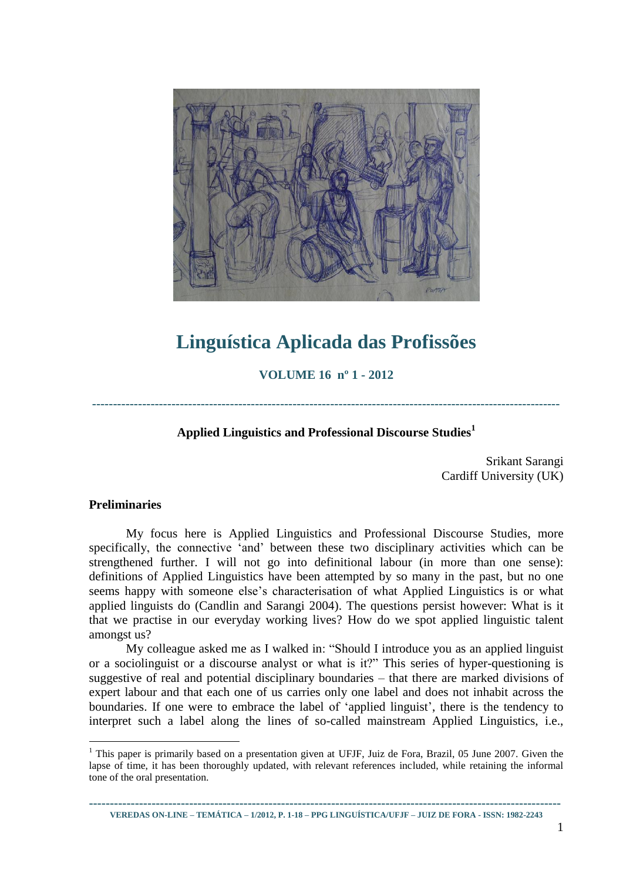

# **Linguística Aplicada das Profissões**

**VOLUME 16 nº 1 - 2012**

**----------------------------------------------------------------------------------------------------------------**

## **Applied Linguistics and Professional Discourse Studies<sup>1</sup>**

Srikant Sarangi Cardiff University (UK)

#### **Preliminaries**

1

My focus here is Applied Linguistics and Professional Discourse Studies, more specifically, the connective 'and' between these two disciplinary activities which can be strengthened further. I will not go into definitional labour (in more than one sense): definitions of Applied Linguistics have been attempted by so many in the past, but no one seems happy with someone else's characterisation of what Applied Linguistics is or what applied linguists do (Candlin and Sarangi 2004). The questions persist however: What is it that we practise in our everyday working lives? How do we spot applied linguistic talent amongst us?

My colleague asked me as I walked in: "Should I introduce you as an applied linguist or a sociolinguist or a discourse analyst or what is it?" This series of hyper-questioning is suggestive of real and potential disciplinary boundaries – that there are marked divisions of expert labour and that each one of us carries only one label and does not inhabit across the boundaries. If one were to embrace the label of 'applied linguist', there is the tendency to interpret such a label along the lines of so-called mainstream Applied Linguistics, i.e.,

**----------------------------------------------------------------------------------------------------------------- VEREDAS ON-LINE – TEMÁTICA – 1/2012, P. 1-18 – PPG LINGUÍSTICA/UFJF – JUIZ DE FORA - ISSN: 1982-2243**

<sup>&</sup>lt;sup>1</sup> This paper is primarily based on a presentation given at UFJF, Juiz de Fora, Brazil, 05 June 2007. Given the lapse of time, it has been thoroughly updated, with relevant references included, while retaining the informal tone of the oral presentation.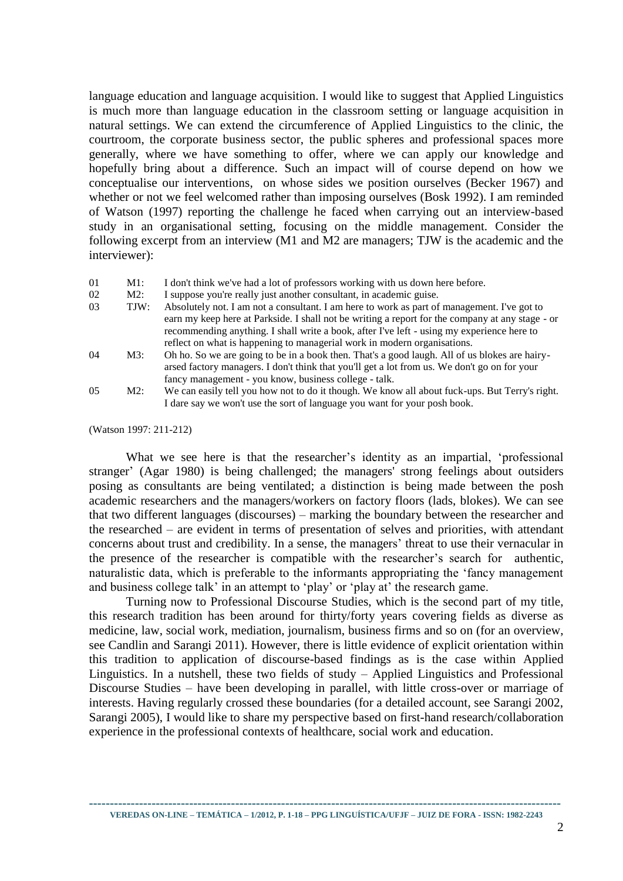language education and language acquisition. I would like to suggest that Applied Linguistics is much more than language education in the classroom setting or language acquisition in natural settings. We can extend the circumference of Applied Linguistics to the clinic, the courtroom, the corporate business sector, the public spheres and professional spaces more generally, where we have something to offer, where we can apply our knowledge and hopefully bring about a difference. Such an impact will of course depend on how we conceptualise our interventions, on whose sides we position ourselves (Becker 1967) and whether or not we feel welcomed rather than imposing ourselves (Bosk 1992). I am reminded of Watson (1997) reporting the challenge he faced when carrying out an interview-based study in an organisational setting, focusing on the middle management. Consider the following excerpt from an interview (M1 and M2 are managers; TJW is the academic and the interviewer):

01 M1: I don't think we've had a lot of professors working with us down here before.

- 02 M2: I suppose you're really just another consultant, in academic guise.
- 03 TJW: Absolutely not. I am not a consultant. I am here to work as part of management. I've got to earn my keep here at Parkside. I shall not be writing a report for the company at any stage - or recommending anything. I shall write a book, after I've left - using my experience here to reflect on what is happening to managerial work in modern organisations.
- 04 M3: Oh ho. So we are going to be in a book then. That's a good laugh. All of us blokes are hairyarsed factory managers. I don't think that you'll get a lot from us. We don't go on for your fancy management - you know, business college - talk.
- 05 M2: We can easily tell you how not to do it though. We know all about fuck-ups. But Terry's right. I dare say we won't use the sort of language you want for your posh book.

(Watson 1997: 211-212)

What we see here is that the researcher's identity as an impartial, 'professional stranger' (Agar 1980) is being challenged; the managers' strong feelings about outsiders posing as consultants are being ventilated; a distinction is being made between the posh academic researchers and the managers/workers on factory floors (lads, blokes). We can see that two different languages (discourses) – marking the boundary between the researcher and the researched – are evident in terms of presentation of selves and priorities, with attendant concerns about trust and credibility. In a sense, the managers' threat to use their vernacular in the presence of the researcher is compatible with the researcher's search for authentic, naturalistic data, which is preferable to the informants appropriating the 'fancy management and business college talk' in an attempt to 'play' or 'play at' the research game.

Turning now to Professional Discourse Studies, which is the second part of my title, this research tradition has been around for thirty/forty years covering fields as diverse as medicine, law, social work, mediation, journalism, business firms and so on (for an overview, see Candlin and Sarangi 2011). However, there is little evidence of explicit orientation within this tradition to application of discourse-based findings as is the case within Applied Linguistics. In a nutshell, these two fields of study – Applied Linguistics and Professional Discourse Studies – have been developing in parallel, with little cross-over or marriage of interests. Having regularly crossed these boundaries (for a detailed account, see Sarangi 2002, Sarangi 2005), I would like to share my perspective based on first-hand research/collaboration experience in the professional contexts of healthcare, social work and education.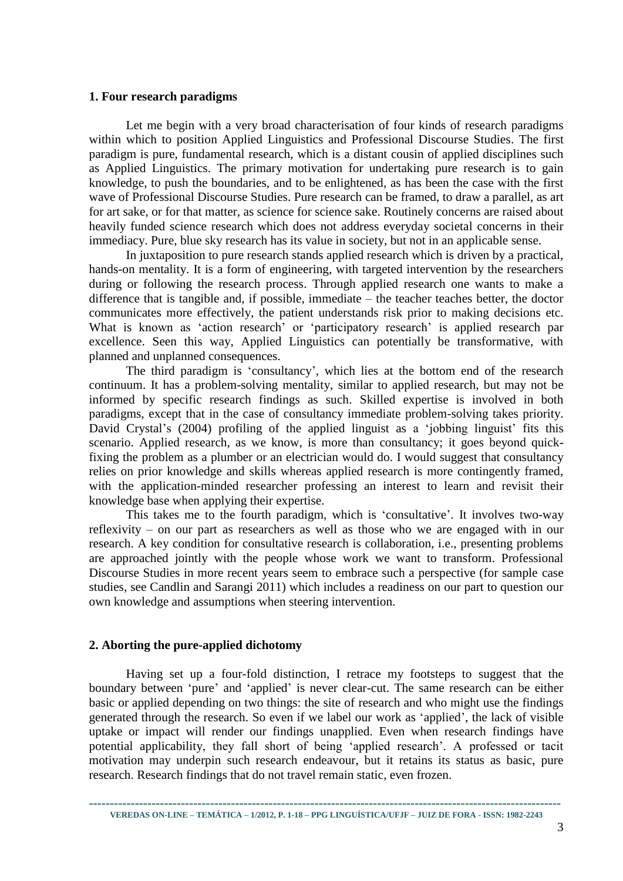#### **1. Four research paradigms**

Let me begin with a very broad characterisation of four kinds of research paradigms within which to position Applied Linguistics and Professional Discourse Studies. The first paradigm is pure, fundamental research, which is a distant cousin of applied disciplines such as Applied Linguistics. The primary motivation for undertaking pure research is to gain knowledge, to push the boundaries, and to be enlightened, as has been the case with the first wave of Professional Discourse Studies. Pure research can be framed, to draw a parallel, as art for art sake, or for that matter, as science for science sake. Routinely concerns are raised about heavily funded science research which does not address everyday societal concerns in their immediacy. Pure, blue sky research has its value in society, but not in an applicable sense.

In juxtaposition to pure research stands applied research which is driven by a practical, hands-on mentality. It is a form of engineering, with targeted intervention by the researchers during or following the research process. Through applied research one wants to make a difference that is tangible and, if possible, immediate – the teacher teaches better, the doctor communicates more effectively, the patient understands risk prior to making decisions etc. What is known as 'action research' or 'participatory research' is applied research par excellence. Seen this way, Applied Linguistics can potentially be transformative, with planned and unplanned consequences.

The third paradigm is 'consultancy', which lies at the bottom end of the research continuum. It has a problem-solving mentality, similar to applied research, but may not be informed by specific research findings as such. Skilled expertise is involved in both paradigms, except that in the case of consultancy immediate problem-solving takes priority. David Crystal's (2004) profiling of the applied linguist as a 'jobbing linguist' fits this scenario. Applied research, as we know, is more than consultancy; it goes beyond quickfixing the problem as a plumber or an electrician would do. I would suggest that consultancy relies on prior knowledge and skills whereas applied research is more contingently framed, with the application-minded researcher professing an interest to learn and revisit their knowledge base when applying their expertise.

This takes me to the fourth paradigm, which is 'consultative'. It involves two-way reflexivity – on our part as researchers as well as those who we are engaged with in our research. A key condition for consultative research is collaboration, i.e., presenting problems are approached jointly with the people whose work we want to transform. Professional Discourse Studies in more recent years seem to embrace such a perspective (for sample case studies, see Candlin and Sarangi 2011) which includes a readiness on our part to question our own knowledge and assumptions when steering intervention.

#### **2. Aborting the pure-applied dichotomy**

Having set up a four-fold distinction, I retrace my footsteps to suggest that the boundary between 'pure' and 'applied' is never clear-cut. The same research can be either basic or applied depending on two things: the site of research and who might use the findings generated through the research. So even if we label our work as 'applied', the lack of visible uptake or impact will render our findings unapplied. Even when research findings have potential applicability, they fall short of being 'applied research'. A professed or tacit motivation may underpin such research endeavour, but it retains its status as basic, pure research. Research findings that do not travel remain static, even frozen.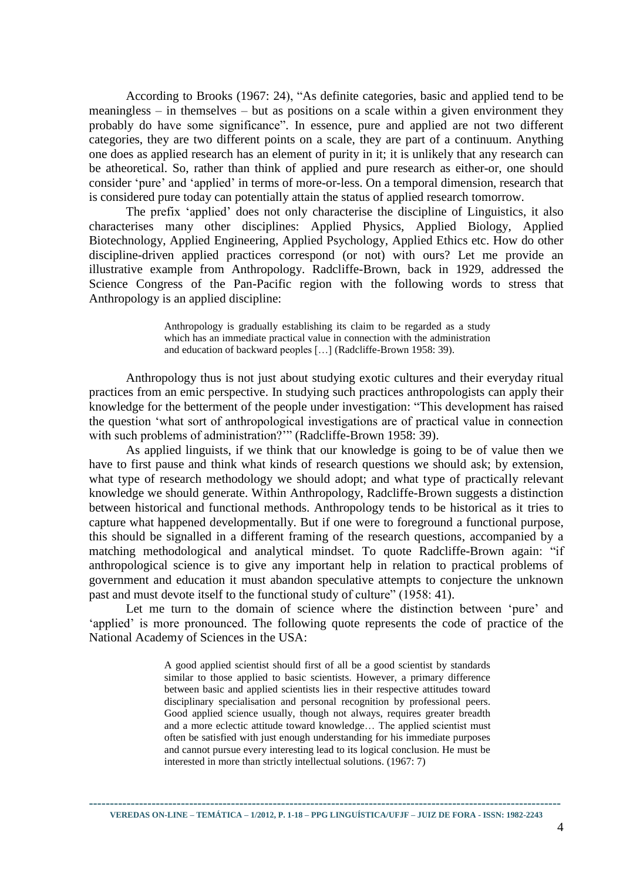According to Brooks (1967: 24), "As definite categories, basic and applied tend to be meaningless – in themselves – but as positions on a scale within a given environment they probably do have some significance". In essence, pure and applied are not two different categories, they are two different points on a scale, they are part of a continuum. Anything one does as applied research has an element of purity in it; it is unlikely that any research can be atheoretical. So, rather than think of applied and pure research as either-or, one should consider 'pure' and 'applied' in terms of more-or-less. On a temporal dimension, research that is considered pure today can potentially attain the status of applied research tomorrow.

The prefix 'applied' does not only characterise the discipline of Linguistics, it also characterises many other disciplines: Applied Physics, Applied Biology, Applied Biotechnology, Applied Engineering, Applied Psychology, Applied Ethics etc. How do other discipline-driven applied practices correspond (or not) with ours? Let me provide an illustrative example from Anthropology. Radcliffe-Brown, back in 1929, addressed the Science Congress of the Pan-Pacific region with the following words to stress that Anthropology is an applied discipline:

> Anthropology is gradually establishing its claim to be regarded as a study which has an immediate practical value in connection with the administration and education of backward peoples […] (Radcliffe-Brown 1958: 39).

Anthropology thus is not just about studying exotic cultures and their everyday ritual practices from an emic perspective. In studying such practices anthropologists can apply their knowledge for the betterment of the people under investigation: "This development has raised the question 'what sort of anthropological investigations are of practical value in connection with such problems of administration?"" (Radcliffe-Brown 1958: 39).

As applied linguists, if we think that our knowledge is going to be of value then we have to first pause and think what kinds of research questions we should ask; by extension, what type of research methodology we should adopt; and what type of practically relevant knowledge we should generate. Within Anthropology, Radcliffe-Brown suggests a distinction between historical and functional methods. Anthropology tends to be historical as it tries to capture what happened developmentally. But if one were to foreground a functional purpose, this should be signalled in a different framing of the research questions, accompanied by a matching methodological and analytical mindset. To quote Radcliffe-Brown again: "if anthropological science is to give any important help in relation to practical problems of government and education it must abandon speculative attempts to conjecture the unknown past and must devote itself to the functional study of culture" (1958: 41).

Let me turn to the domain of science where the distinction between 'pure' and 'applied' is more pronounced. The following quote represents the code of practice of the National Academy of Sciences in the USA:

> A good applied scientist should first of all be a good scientist by standards similar to those applied to basic scientists. However, a primary difference between basic and applied scientists lies in their respective attitudes toward disciplinary specialisation and personal recognition by professional peers. Good applied science usually, though not always, requires greater breadth and a more eclectic attitude toward knowledge… The applied scientist must often be satisfied with just enough understanding for his immediate purposes and cannot pursue every interesting lead to its logical conclusion. He must be interested in more than strictly intellectual solutions. (1967: 7)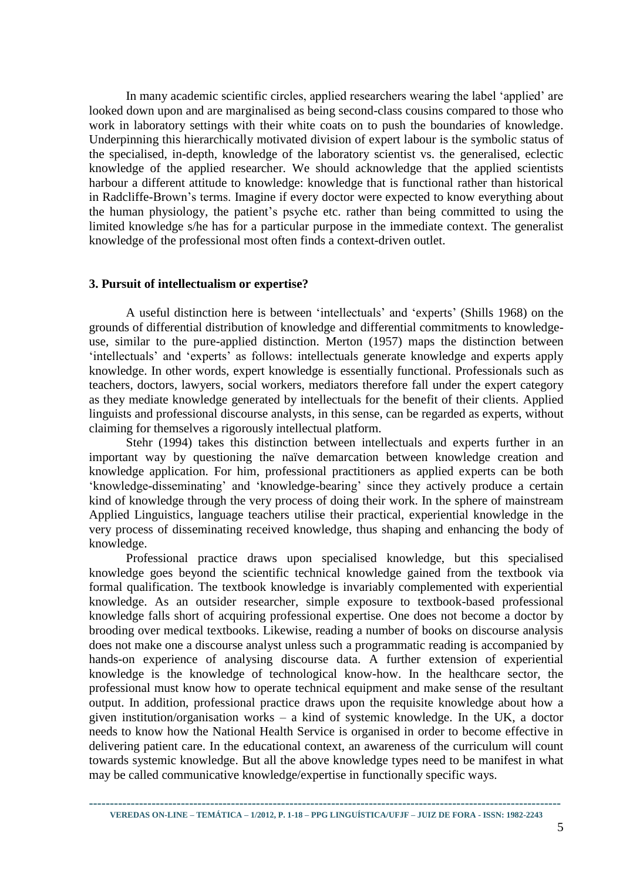In many academic scientific circles, applied researchers wearing the label 'applied' are looked down upon and are marginalised as being second-class cousins compared to those who work in laboratory settings with their white coats on to push the boundaries of knowledge. Underpinning this hierarchically motivated division of expert labour is the symbolic status of the specialised, in-depth, knowledge of the laboratory scientist vs. the generalised, eclectic knowledge of the applied researcher. We should acknowledge that the applied scientists harbour a different attitude to knowledge: knowledge that is functional rather than historical in Radcliffe-Brown's terms. Imagine if every doctor were expected to know everything about the human physiology, the patient's psyche etc. rather than being committed to using the limited knowledge s/he has for a particular purpose in the immediate context. The generalist knowledge of the professional most often finds a context-driven outlet.

#### **3. Pursuit of intellectualism or expertise?**

A useful distinction here is between 'intellectuals' and 'experts' (Shills 1968) on the grounds of differential distribution of knowledge and differential commitments to knowledgeuse, similar to the pure-applied distinction. Merton (1957) maps the distinction between 'intellectuals' and 'experts' as follows: intellectuals generate knowledge and experts apply knowledge. In other words, expert knowledge is essentially functional. Professionals such as teachers, doctors, lawyers, social workers, mediators therefore fall under the expert category as they mediate knowledge generated by intellectuals for the benefit of their clients. Applied linguists and professional discourse analysts, in this sense, can be regarded as experts, without claiming for themselves a rigorously intellectual platform.

Stehr (1994) takes this distinction between intellectuals and experts further in an important way by questioning the naïve demarcation between knowledge creation and knowledge application. For him, professional practitioners as applied experts can be both 'knowledge-disseminating' and 'knowledge-bearing' since they actively produce a certain kind of knowledge through the very process of doing their work. In the sphere of mainstream Applied Linguistics, language teachers utilise their practical, experiential knowledge in the very process of disseminating received knowledge, thus shaping and enhancing the body of knowledge.

Professional practice draws upon specialised knowledge, but this specialised knowledge goes beyond the scientific technical knowledge gained from the textbook via formal qualification. The textbook knowledge is invariably complemented with experiential knowledge. As an outsider researcher, simple exposure to textbook-based professional knowledge falls short of acquiring professional expertise. One does not become a doctor by brooding over medical textbooks. Likewise, reading a number of books on discourse analysis does not make one a discourse analyst unless such a programmatic reading is accompanied by hands-on experience of analysing discourse data. A further extension of experiential knowledge is the knowledge of technological know-how. In the healthcare sector, the professional must know how to operate technical equipment and make sense of the resultant output. In addition, professional practice draws upon the requisite knowledge about how a given institution/organisation works – a kind of systemic knowledge. In the UK, a doctor needs to know how the National Health Service is organised in order to become effective in delivering patient care. In the educational context, an awareness of the curriculum will count towards systemic knowledge. But all the above knowledge types need to be manifest in what may be called communicative knowledge/expertise in functionally specific ways.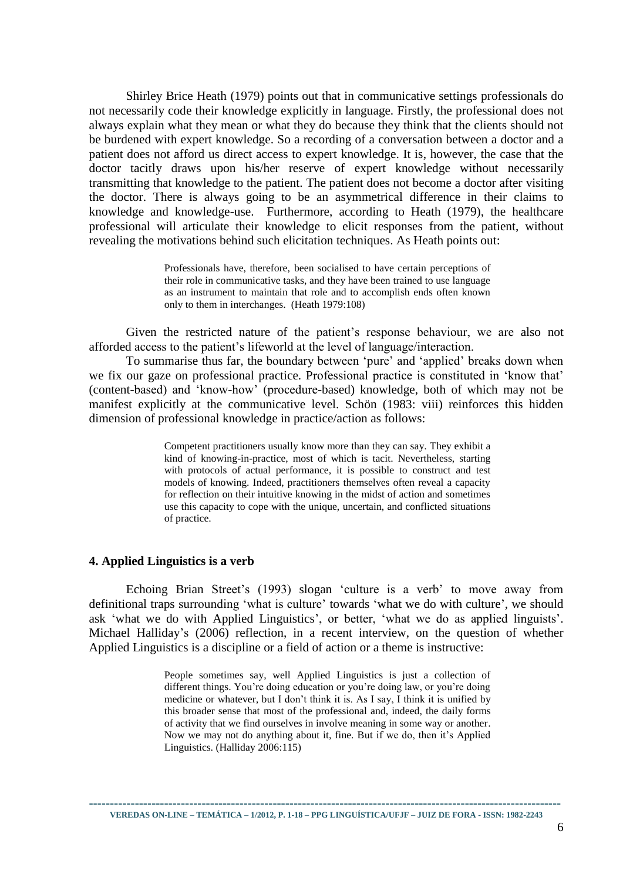Shirley Brice Heath (1979) points out that in communicative settings professionals do not necessarily code their knowledge explicitly in language. Firstly, the professional does not always explain what they mean or what they do because they think that the clients should not be burdened with expert knowledge. So a recording of a conversation between a doctor and a patient does not afford us direct access to expert knowledge. It is, however, the case that the doctor tacitly draws upon his/her reserve of expert knowledge without necessarily transmitting that knowledge to the patient. The patient does not become a doctor after visiting the doctor. There is always going to be an asymmetrical difference in their claims to knowledge and knowledge-use. Furthermore, according to Heath (1979), the healthcare professional will articulate their knowledge to elicit responses from the patient, without revealing the motivations behind such elicitation techniques. As Heath points out:

> Professionals have, therefore, been socialised to have certain perceptions of their role in communicative tasks, and they have been trained to use language as an instrument to maintain that role and to accomplish ends often known only to them in interchanges. (Heath 1979:108)

Given the restricted nature of the patient's response behaviour, we are also not afforded access to the patient's lifeworld at the level of language/interaction.

To summarise thus far, the boundary between 'pure' and 'applied' breaks down when we fix our gaze on professional practice. Professional practice is constituted in 'know that' (content-based) and 'know-how' (procedure-based) knowledge, both of which may not be manifest explicitly at the communicative level. Schön (1983: viii) reinforces this hidden dimension of professional knowledge in practice/action as follows:

> Competent practitioners usually know more than they can say. They exhibit a kind of knowing-in-practice, most of which is tacit. Nevertheless, starting with protocols of actual performance, it is possible to construct and test models of knowing. Indeed, practitioners themselves often reveal a capacity for reflection on their intuitive knowing in the midst of action and sometimes use this capacity to cope with the unique, uncertain, and conflicted situations of practice.

#### **4. Applied Linguistics is a verb**

Echoing Brian Street's (1993) slogan 'culture is a verb' to move away from definitional traps surrounding 'what is culture' towards 'what we do with culture', we should ask 'what we do with Applied Linguistics', or better, 'what we do as applied linguists'. Michael Halliday's (2006) reflection, in a recent interview, on the question of whether Applied Linguistics is a discipline or a field of action or a theme is instructive:

> People sometimes say, well Applied Linguistics is just a collection of different things. You're doing education or you're doing law, or you're doing medicine or whatever, but I don't think it is. As I say, I think it is unified by this broader sense that most of the professional and, indeed, the daily forms of activity that we find ourselves in involve meaning in some way or another. Now we may not do anything about it, fine. But if we do, then it's Applied Linguistics. (Halliday 2006:115)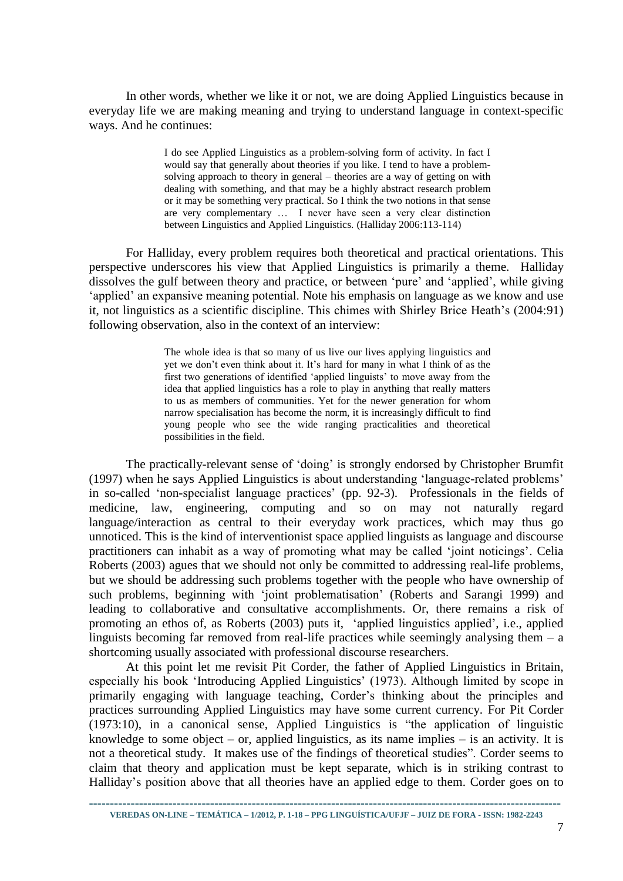In other words, whether we like it or not, we are doing Applied Linguistics because in everyday life we are making meaning and trying to understand language in context-specific ways. And he continues:

> I do see Applied Linguistics as a problem-solving form of activity. In fact I would say that generally about theories if you like. I tend to have a problemsolving approach to theory in general – theories are a way of getting on with dealing with something, and that may be a highly abstract research problem or it may be something very practical. So I think the two notions in that sense are very complementary … I never have seen a very clear distinction between Linguistics and Applied Linguistics. (Halliday 2006:113-114)

For Halliday, every problem requires both theoretical and practical orientations. This perspective underscores his view that Applied Linguistics is primarily a theme. Halliday dissolves the gulf between theory and practice, or between 'pure' and 'applied', while giving 'applied' an expansive meaning potential. Note his emphasis on language as we know and use it, not linguistics as a scientific discipline. This chimes with Shirley Brice Heath's (2004:91) following observation, also in the context of an interview:

> The whole idea is that so many of us live our lives applying linguistics and yet we don't even think about it. It's hard for many in what I think of as the first two generations of identified 'applied linguists' to move away from the idea that applied linguistics has a role to play in anything that really matters to us as members of communities. Yet for the newer generation for whom narrow specialisation has become the norm, it is increasingly difficult to find young people who see the wide ranging practicalities and theoretical possibilities in the field.

The practically-relevant sense of 'doing' is strongly endorsed by Christopher Brumfit (1997) when he says Applied Linguistics is about understanding 'language-related problems' in so-called 'non-specialist language practices' (pp. 92-3). Professionals in the fields of medicine, law, engineering, computing and so on may not naturally regard language/interaction as central to their everyday work practices, which may thus go unnoticed. This is the kind of interventionist space applied linguists as language and discourse practitioners can inhabit as a way of promoting what may be called 'joint noticings'. Celia Roberts (2003) agues that we should not only be committed to addressing real-life problems, but we should be addressing such problems together with the people who have ownership of such problems, beginning with 'joint problematisation' (Roberts and Sarangi 1999) and leading to collaborative and consultative accomplishments. Or, there remains a risk of promoting an ethos of, as Roberts (2003) puts it, 'applied linguistics applied', i.e., applied linguists becoming far removed from real-life practices while seemingly analysing them  $- a$ shortcoming usually associated with professional discourse researchers.

At this point let me revisit Pit Corder, the father of Applied Linguistics in Britain, especially his book 'Introducing Applied Linguistics' (1973). Although limited by scope in primarily engaging with language teaching, Corder's thinking about the principles and practices surrounding Applied Linguistics may have some current currency. For Pit Corder (1973:10), in a canonical sense, Applied Linguistics is "the application of linguistic knowledge to some object – or, applied linguistics, as its name implies – is an activity. It is not a theoretical study. It makes use of the findings of theoretical studies". Corder seems to claim that theory and application must be kept separate, which is in striking contrast to Halliday's position above that all theories have an applied edge to them. Corder goes on to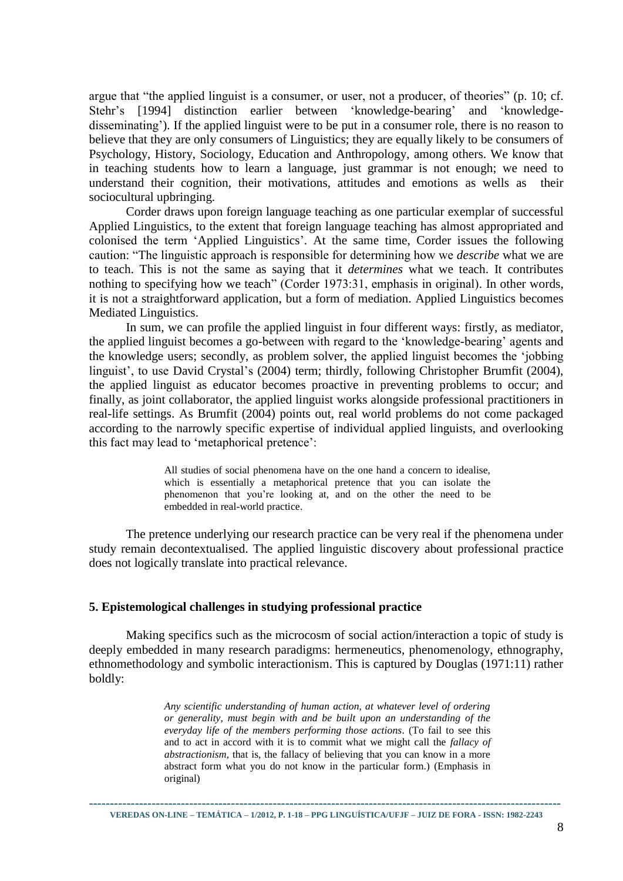argue that "the applied linguist is a consumer, or user, not a producer, of theories" (p. 10; cf. Stehr's [1994] distinction earlier between 'knowledge-bearing' and 'knowledgedisseminating'). If the applied linguist were to be put in a consumer role, there is no reason to believe that they are only consumers of Linguistics; they are equally likely to be consumers of Psychology, History, Sociology, Education and Anthropology, among others. We know that in teaching students how to learn a language, just grammar is not enough; we need to understand their cognition, their motivations, attitudes and emotions as wells as their sociocultural upbringing.

Corder draws upon foreign language teaching as one particular exemplar of successful Applied Linguistics, to the extent that foreign language teaching has almost appropriated and colonised the term 'Applied Linguistics'. At the same time, Corder issues the following caution: "The linguistic approach is responsible for determining how we *describe* what we are to teach. This is not the same as saying that it *determines* what we teach. It contributes nothing to specifying how we teach" (Corder 1973:31, emphasis in original). In other words, it is not a straightforward application, but a form of mediation. Applied Linguistics becomes Mediated Linguistics.

In sum, we can profile the applied linguist in four different ways: firstly, as mediator, the applied linguist becomes a go-between with regard to the 'knowledge-bearing' agents and the knowledge users; secondly, as problem solver, the applied linguist becomes the 'jobbing linguist', to use David Crystal's (2004) term; thirdly, following Christopher Brumfit (2004), the applied linguist as educator becomes proactive in preventing problems to occur; and finally, as joint collaborator, the applied linguist works alongside professional practitioners in real-life settings. As Brumfit (2004) points out, real world problems do not come packaged according to the narrowly specific expertise of individual applied linguists, and overlooking this fact may lead to 'metaphorical pretence':

> All studies of social phenomena have on the one hand a concern to idealise, which is essentially a metaphorical pretence that you can isolate the phenomenon that you're looking at, and on the other the need to be embedded in real-world practice.

The pretence underlying our research practice can be very real if the phenomena under study remain decontextualised. The applied linguistic discovery about professional practice does not logically translate into practical relevance.

#### **5. Epistemological challenges in studying professional practice**

Making specifics such as the microcosm of social action/interaction a topic of study is deeply embedded in many research paradigms: hermeneutics, phenomenology, ethnography, ethnomethodology and symbolic interactionism. This is captured by Douglas (1971:11) rather boldly:

> *Any scientific understanding of human action, at whatever level of ordering or generality, must begin with and be built upon an understanding of the everyday life of the members performing those actions*. (To fail to see this and to act in accord with it is to commit what we might call the *fallacy of abstractionism*, that is, the fallacy of believing that you can know in a more abstract form what you do not know in the particular form.) (Emphasis in original)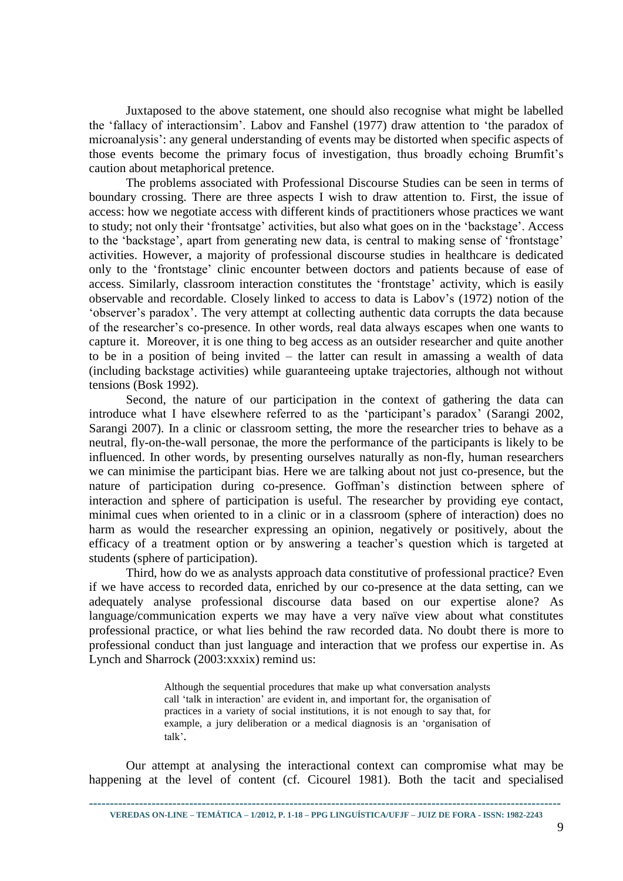Juxtaposed to the above statement, one should also recognise what might be labelled the 'fallacy of interactionsim'. Labov and Fanshel (1977) draw attention to 'the paradox of microanalysis': any general understanding of events may be distorted when specific aspects of those events become the primary focus of investigation, thus broadly echoing Brumfit's caution about metaphorical pretence.

The problems associated with Professional Discourse Studies can be seen in terms of boundary crossing. There are three aspects I wish to draw attention to. First, the issue of access: how we negotiate access with different kinds of practitioners whose practices we want to study; not only their 'frontsatge' activities, but also what goes on in the 'backstage'. Access to the 'backstage', apart from generating new data, is central to making sense of 'frontstage' activities. However, a majority of professional discourse studies in healthcare is dedicated only to the 'frontstage' clinic encounter between doctors and patients because of ease of access. Similarly, classroom interaction constitutes the 'frontstage' activity, which is easily observable and recordable. Closely linked to access to data is Labov's (1972) notion of the 'observer's paradox'. The very attempt at collecting authentic data corrupts the data because of the researcher's co-presence. In other words, real data always escapes when one wants to capture it. Moreover, it is one thing to beg access as an outsider researcher and quite another to be in a position of being invited – the latter can result in amassing a wealth of data (including backstage activities) while guaranteeing uptake trajectories, although not without tensions (Bosk 1992).

Second, the nature of our participation in the context of gathering the data can introduce what I have elsewhere referred to as the 'participant's paradox' (Sarangi 2002, Sarangi 2007). In a clinic or classroom setting, the more the researcher tries to behave as a neutral, fly-on-the-wall personae, the more the performance of the participants is likely to be influenced. In other words, by presenting ourselves naturally as non-fly, human researchers we can minimise the participant bias. Here we are talking about not just co-presence, but the nature of participation during co-presence. Goffman's distinction between sphere of interaction and sphere of participation is useful. The researcher by providing eye contact, minimal cues when oriented to in a clinic or in a classroom (sphere of interaction) does no harm as would the researcher expressing an opinion, negatively or positively, about the efficacy of a treatment option or by answering a teacher's question which is targeted at students (sphere of participation).

Third, how do we as analysts approach data constitutive of professional practice? Even if we have access to recorded data, enriched by our co-presence at the data setting, can we adequately analyse professional discourse data based on our expertise alone? As language/communication experts we may have a very naïve view about what constitutes professional practice, or what lies behind the raw recorded data. No doubt there is more to professional conduct than just language and interaction that we profess our expertise in. As Lynch and Sharrock (2003:xxxix) remind us:

> Although the sequential procedures that make up what conversation analysts call 'talk in interaction' are evident in, and important for, the organisation of practices in a variety of social institutions, it is not enough to say that, for example, a jury deliberation or a medical diagnosis is an 'organisation of talk'.

Our attempt at analysing the interactional context can compromise what may be happening at the level of content (cf. Cicourel 1981). Both the tacit and specialised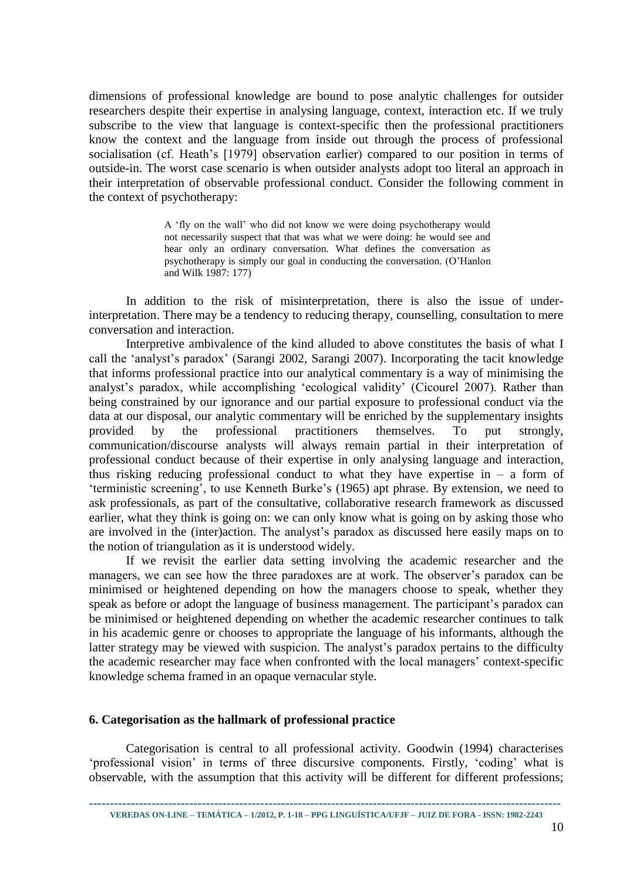dimensions of professional knowledge are bound to pose analytic challenges for outsider researchers despite their expertise in analysing language, context, interaction etc. If we truly subscribe to the view that language is context-specific then the professional practitioners know the context and the language from inside out through the process of professional socialisation (cf. Heath's [1979] observation earlier) compared to our position in terms of outside-in. The worst case scenario is when outsider analysts adopt too literal an approach in their interpretation of observable professional conduct. Consider the following comment in the context of psychotherapy:

> A 'fly on the wall' who did not know we were doing psychotherapy would not necessarily suspect that that was what we were doing: he would see and hear only an ordinary conversation. What defines the conversation as psychotherapy is simply our goal in conducting the conversation. (O'Hanlon and Wilk 1987: 177)

In addition to the risk of misinterpretation, there is also the issue of underinterpretation. There may be a tendency to reducing therapy, counselling, consultation to mere conversation and interaction.

Interpretive ambivalence of the kind alluded to above constitutes the basis of what I call the 'analyst's paradox' (Sarangi 2002, Sarangi 2007). Incorporating the tacit knowledge that informs professional practice into our analytical commentary is a way of minimising the analyst's paradox, while accomplishing 'ecological validity' (Cicourel 2007). Rather than being constrained by our ignorance and our partial exposure to professional conduct via the data at our disposal, our analytic commentary will be enriched by the supplementary insights provided by the professional practitioners themselves. To put strongly, communication/discourse analysts will always remain partial in their interpretation of professional conduct because of their expertise in only analysing language and interaction, thus risking reducing professional conduct to what they have expertise in  $-$  a form of 'terministic screening', to use Kenneth Burke's (1965) apt phrase. By extension, we need to ask professionals, as part of the consultative, collaborative research framework as discussed earlier, what they think is going on: we can only know what is going on by asking those who are involved in the (inter)action. The analyst's paradox as discussed here easily maps on to the notion of triangulation as it is understood widely.

If we revisit the earlier data setting involving the academic researcher and the managers, we can see how the three paradoxes are at work. The observer's paradox can be minimised or heightened depending on how the managers choose to speak, whether they speak as before or adopt the language of business management. The participant's paradox can be minimised or heightened depending on whether the academic researcher continues to talk in his academic genre or chooses to appropriate the language of his informants, although the latter strategy may be viewed with suspicion. The analyst's paradox pertains to the difficulty the academic researcher may face when confronted with the local managers' context-specific knowledge schema framed in an opaque vernacular style.

#### **6. Categorisation as the hallmark of professional practice**

Categorisation is central to all professional activity. Goodwin (1994) characterises 'professional vision' in terms of three discursive components. Firstly, 'coding' what is observable, with the assumption that this activity will be different for different professions;

**VEREDAS ON-LINE – TEMÁTICA – 1/2012, P. 1-18 – PPG LINGUÍSTICA/UFJF – JUIZ DE FORA - ISSN: 1982-2243**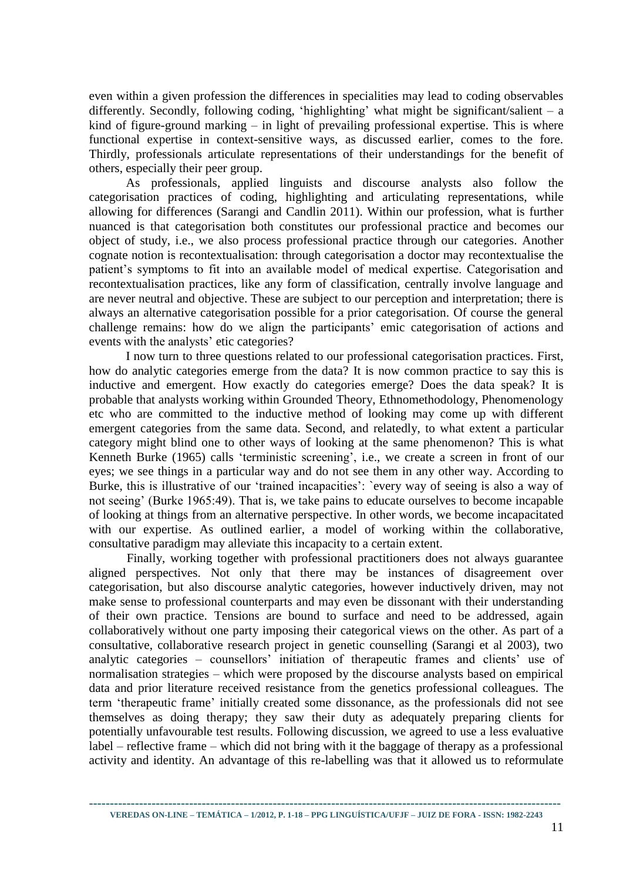even within a given profession the differences in specialities may lead to coding observables differently. Secondly, following coding, 'highlighting' what might be significant/salient – a kind of figure-ground marking – in light of prevailing professional expertise. This is where functional expertise in context-sensitive ways, as discussed earlier, comes to the fore. Thirdly, professionals articulate representations of their understandings for the benefit of others, especially their peer group.

As professionals, applied linguists and discourse analysts also follow the categorisation practices of coding, highlighting and articulating representations, while allowing for differences (Sarangi and Candlin 2011). Within our profession, what is further nuanced is that categorisation both constitutes our professional practice and becomes our object of study, i.e., we also process professional practice through our categories. Another cognate notion is recontextualisation: through categorisation a doctor may recontextualise the patient's symptoms to fit into an available model of medical expertise. Categorisation and recontextualisation practices, like any form of classification, centrally involve language and are never neutral and objective. These are subject to our perception and interpretation; there is always an alternative categorisation possible for a prior categorisation. Of course the general challenge remains: how do we align the participants' emic categorisation of actions and events with the analysts' etic categories?

I now turn to three questions related to our professional categorisation practices. First, how do analytic categories emerge from the data? It is now common practice to say this is inductive and emergent. How exactly do categories emerge? Does the data speak? It is probable that analysts working within Grounded Theory, Ethnomethodology, Phenomenology etc who are committed to the inductive method of looking may come up with different emergent categories from the same data. Second, and relatedly, to what extent a particular category might blind one to other ways of looking at the same phenomenon? This is what Kenneth Burke (1965) calls 'terministic screening', i.e., we create a screen in front of our eyes; we see things in a particular way and do not see them in any other way. According to Burke, this is illustrative of our 'trained incapacities': 'every way of seeing is also a way of not seeing' (Burke 1965:49). That is, we take pains to educate ourselves to become incapable of looking at things from an alternative perspective. In other words, we become incapacitated with our expertise. As outlined earlier, a model of working within the collaborative, consultative paradigm may alleviate this incapacity to a certain extent.

Finally, working together with professional practitioners does not always guarantee aligned perspectives. Not only that there may be instances of disagreement over categorisation, but also discourse analytic categories, however inductively driven, may not make sense to professional counterparts and may even be dissonant with their understanding of their own practice. Tensions are bound to surface and need to be addressed, again collaboratively without one party imposing their categorical views on the other. As part of a consultative, collaborative research project in genetic counselling (Sarangi et al 2003), two analytic categories – counsellors' initiation of therapeutic frames and clients' use of normalisation strategies – which were proposed by the discourse analysts based on empirical data and prior literature received resistance from the genetics professional colleagues. The term 'therapeutic frame' initially created some dissonance, as the professionals did not see themselves as doing therapy; they saw their duty as adequately preparing clients for potentially unfavourable test results. Following discussion, we agreed to use a less evaluative label – reflective frame – which did not bring with it the baggage of therapy as a professional activity and identity. An advantage of this re-labelling was that it allowed us to reformulate

**----------------------------------------------------------------------------------------------------------------- VEREDAS ON-LINE – TEMÁTICA – 1/2012, P. 1-18 – PPG LINGUÍSTICA/UFJF – JUIZ DE FORA - ISSN: 1982-2243**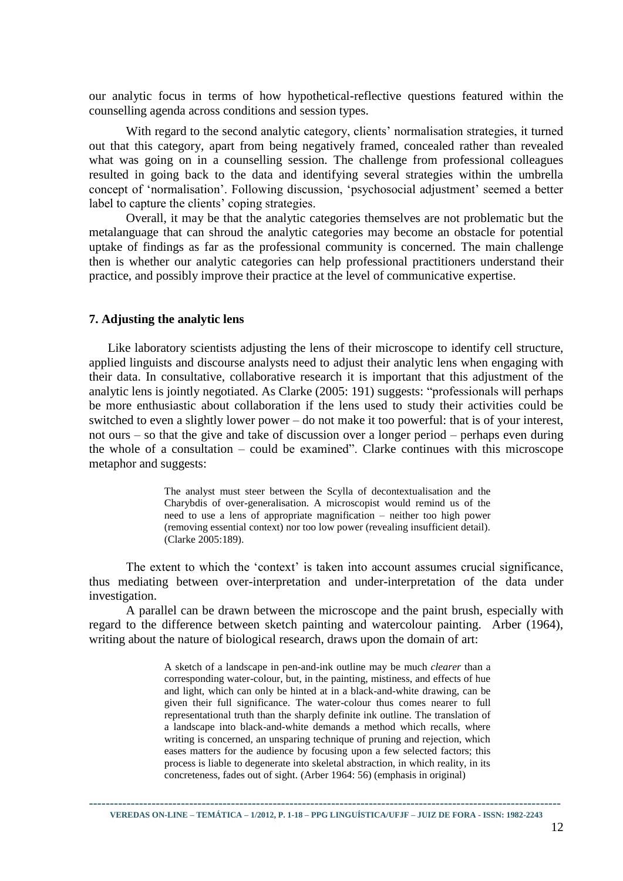our analytic focus in terms of how hypothetical-reflective questions featured within the counselling agenda across conditions and session types.

With regard to the second analytic category, clients' normalisation strategies, it turned out that this category, apart from being negatively framed, concealed rather than revealed what was going on in a counselling session. The challenge from professional colleagues resulted in going back to the data and identifying several strategies within the umbrella concept of 'normalisation'. Following discussion, 'psychosocial adjustment' seemed a better label to capture the clients' coping strategies.

Overall, it may be that the analytic categories themselves are not problematic but the metalanguage that can shroud the analytic categories may become an obstacle for potential uptake of findings as far as the professional community is concerned. The main challenge then is whether our analytic categories can help professional practitioners understand their practice, and possibly improve their practice at the level of communicative expertise.

#### **7. Adjusting the analytic lens**

Like laboratory scientists adjusting the lens of their microscope to identify cell structure, applied linguists and discourse analysts need to adjust their analytic lens when engaging with their data. In consultative, collaborative research it is important that this adjustment of the analytic lens is jointly negotiated. As Clarke (2005: 191) suggests: "professionals will perhaps be more enthusiastic about collaboration if the lens used to study their activities could be switched to even a slightly lower power *–* do not make it too powerful: that is of your interest, not ours *–* so that the give and take of discussion over a longer period – perhaps even during the whole of a consultation – could be examined". Clarke continues with this microscope metaphor and suggests:

> The analyst must steer between the Scylla of decontextualisation and the Charybdis of over-generalisation. A microscopist would remind us of the need to use a lens of appropriate magnification – neither too high power (removing essential context) nor too low power (revealing insufficient detail). (Clarke 2005:189).

The extent to which the 'context' is taken into account assumes crucial significance, thus mediating between over-interpretation and under-interpretation of the data under investigation.

A parallel can be drawn between the microscope and the paint brush, especially with regard to the difference between sketch painting and watercolour painting. Arber (1964), writing about the nature of biological research, draws upon the domain of art:

> A sketch of a landscape in pen-and-ink outline may be much *clearer* than a corresponding water-colour, but, in the painting, mistiness, and effects of hue and light, which can only be hinted at in a black-and-white drawing, can be given their full significance. The water-colour thus comes nearer to full representational truth than the sharply definite ink outline. The translation of a landscape into black-and-white demands a method which recalls, where writing is concerned, an unsparing technique of pruning and rejection, which eases matters for the audience by focusing upon a few selected factors; this process is liable to degenerate into skeletal abstraction, in which reality, in its concreteness, fades out of sight. (Arber 1964: 56) (emphasis in original)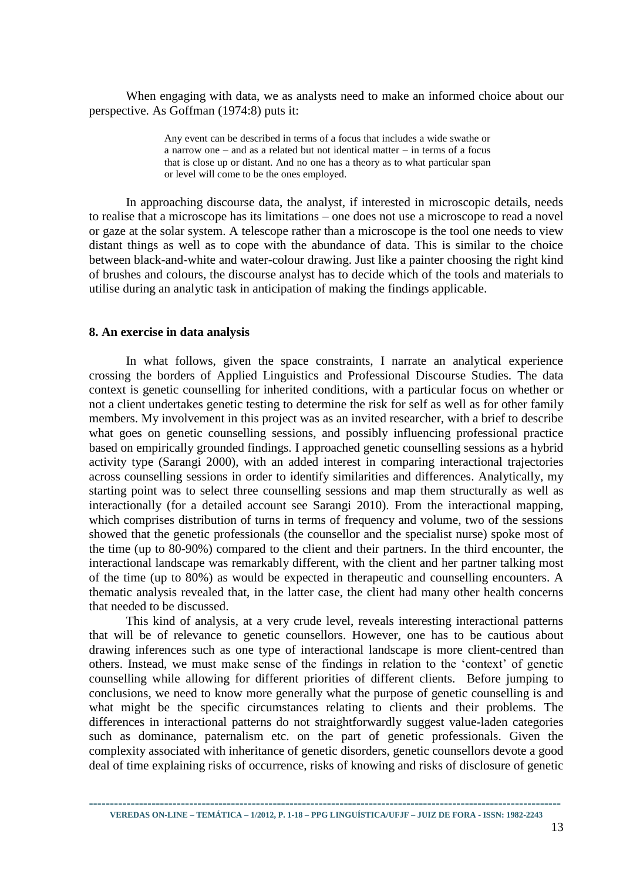When engaging with data, we as analysts need to make an informed choice about our perspective. As Goffman (1974:8) puts it:

> Any event can be described in terms of a focus that includes a wide swathe or a narrow one – and as a related but not identical matter – in terms of a focus that is close up or distant. And no one has a theory as to what particular span or level will come to be the ones employed.

In approaching discourse data, the analyst, if interested in microscopic details, needs to realise that a microscope has its limitations – one does not use a microscope to read a novel or gaze at the solar system. A telescope rather than a microscope is the tool one needs to view distant things as well as to cope with the abundance of data. This is similar to the choice between black-and-white and water-colour drawing. Just like a painter choosing the right kind of brushes and colours, the discourse analyst has to decide which of the tools and materials to utilise during an analytic task in anticipation of making the findings applicable.

#### **8. An exercise in data analysis**

In what follows, given the space constraints, I narrate an analytical experience crossing the borders of Applied Linguistics and Professional Discourse Studies. The data context is genetic counselling for inherited conditions, with a particular focus on whether or not a client undertakes genetic testing to determine the risk for self as well as for other family members. My involvement in this project was as an invited researcher, with a brief to describe what goes on genetic counselling sessions, and possibly influencing professional practice based on empirically grounded findings. I approached genetic counselling sessions as a hybrid activity type (Sarangi 2000), with an added interest in comparing interactional trajectories across counselling sessions in order to identify similarities and differences. Analytically, my starting point was to select three counselling sessions and map them structurally as well as interactionally (for a detailed account see Sarangi 2010). From the interactional mapping, which comprises distribution of turns in terms of frequency and volume, two of the sessions showed that the genetic professionals (the counsellor and the specialist nurse) spoke most of the time (up to 80-90%) compared to the client and their partners. In the third encounter, the interactional landscape was remarkably different, with the client and her partner talking most of the time (up to 80%) as would be expected in therapeutic and counselling encounters. A thematic analysis revealed that, in the latter case, the client had many other health concerns that needed to be discussed.

This kind of analysis, at a very crude level, reveals interesting interactional patterns that will be of relevance to genetic counsellors. However, one has to be cautious about drawing inferences such as one type of interactional landscape is more client-centred than others. Instead, we must make sense of the findings in relation to the 'context' of genetic counselling while allowing for different priorities of different clients. Before jumping to conclusions, we need to know more generally what the purpose of genetic counselling is and what might be the specific circumstances relating to clients and their problems. The differences in interactional patterns do not straightforwardly suggest value-laden categories such as dominance, paternalism etc. on the part of genetic professionals. Given the complexity associated with inheritance of genetic disorders, genetic counsellors devote a good deal of time explaining risks of occurrence, risks of knowing and risks of disclosure of genetic

**----------------------------------------------------------------------------------------------------------------- VEREDAS ON-LINE – TEMÁTICA – 1/2012, P. 1-18 – PPG LINGUÍSTICA/UFJF – JUIZ DE FORA - ISSN: 1982-2243**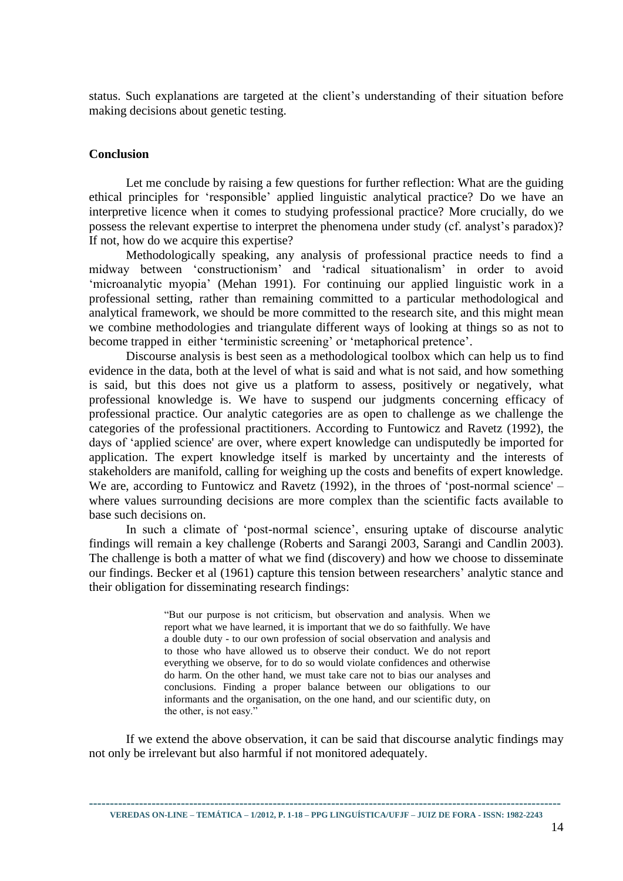status. Such explanations are targeted at the client's understanding of their situation before making decisions about genetic testing.

#### **Conclusion**

Let me conclude by raising a few questions for further reflection: What are the guiding ethical principles for 'responsible' applied linguistic analytical practice? Do we have an interpretive licence when it comes to studying professional practice? More crucially, do we possess the relevant expertise to interpret the phenomena under study (cf. analyst's paradox)? If not, how do we acquire this expertise?

Methodologically speaking, any analysis of professional practice needs to find a midway between 'constructionism' and 'radical situationalism' in order to avoid 'microanalytic myopia' (Mehan 1991). For continuing our applied linguistic work in a professional setting, rather than remaining committed to a particular methodological and analytical framework, we should be more committed to the research site, and this might mean we combine methodologies and triangulate different ways of looking at things so as not to become trapped in either 'terministic screening' or 'metaphorical pretence'.

Discourse analysis is best seen as a methodological toolbox which can help us to find evidence in the data, both at the level of what is said and what is not said, and how something is said, but this does not give us a platform to assess, positively or negatively, what professional knowledge is. We have to suspend our judgments concerning efficacy of professional practice. Our analytic categories are as open to challenge as we challenge the categories of the professional practitioners. According to Funtowicz and Ravetz (1992), the days of 'applied science' are over, where expert knowledge can undisputedly be imported for application. The expert knowledge itself is marked by uncertainty and the interests of stakeholders are manifold, calling for weighing up the costs and benefits of expert knowledge. We are, according to Funtowicz and Ravetz (1992), in the throes of 'post-normal science' – where values surrounding decisions are more complex than the scientific facts available to base such decisions on.

In such a climate of 'post-normal science', ensuring uptake of discourse analytic findings will remain a key challenge (Roberts and Sarangi 2003, Sarangi and Candlin 2003). The challenge is both a matter of what we find (discovery) and how we choose to disseminate our findings. Becker et al (1961) capture this tension between researchers' analytic stance and their obligation for disseminating research findings:

> "But our purpose is not criticism, but observation and analysis. When we report what we have learned, it is important that we do so faithfully. We have a double duty - to our own profession of social observation and analysis and to those who have allowed us to observe their conduct. We do not report everything we observe, for to do so would violate confidences and otherwise do harm. On the other hand, we must take care not to bias our analyses and conclusions. Finding a proper balance between our obligations to our informants and the organisation, on the one hand, and our scientific duty, on the other, is not easy."

If we extend the above observation, it can be said that discourse analytic findings may not only be irrelevant but also harmful if not monitored adequately.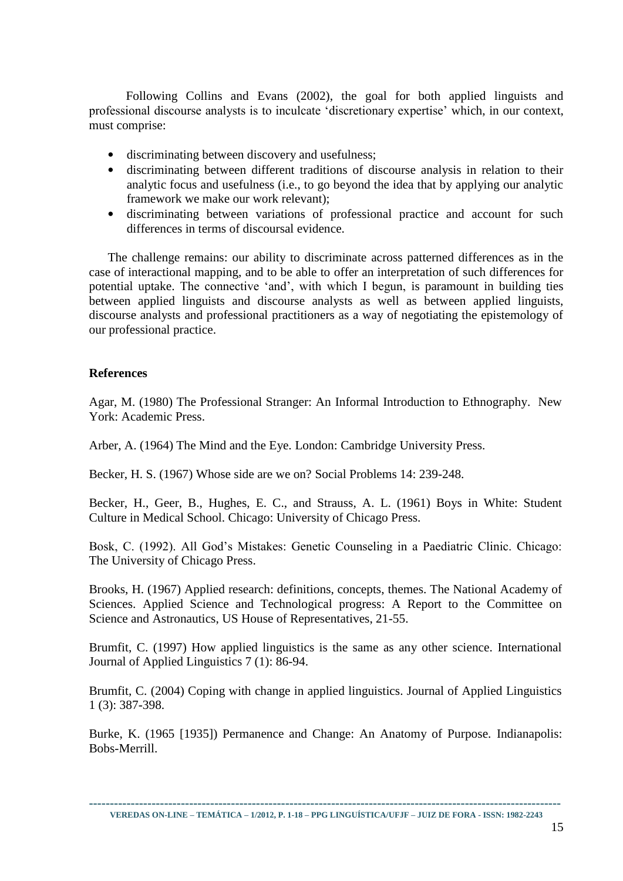Following Collins and Evans (2002), the goal for both applied linguists and professional discourse analysts is to inculcate 'discretionary expertise' which, in our context, must comprise:

- discriminating between discovery and usefulness;
- discriminating between different traditions of discourse analysis in relation to their analytic focus and usefulness (i.e., to go beyond the idea that by applying our analytic framework we make our work relevant);
- discriminating between variations of professional practice and account for such differences in terms of discoursal evidence.

The challenge remains: our ability to discriminate across patterned differences as in the case of interactional mapping, and to be able to offer an interpretation of such differences for potential uptake. The connective 'and', with which I begun, is paramount in building ties between applied linguists and discourse analysts as well as between applied linguists, discourse analysts and professional practitioners as a way of negotiating the epistemology of our professional practice.

### **References**

Agar, M. (1980) The Professional Stranger: An Informal Introduction to Ethnography. New York: Academic Press.

Arber, A. (1964) The Mind and the Eye. London: Cambridge University Press.

Becker, H. S. (1967) Whose side are we on? Social Problems 14: 239-248.

Becker, H., Geer, B., Hughes, E. C., and Strauss, A. L. (1961) Boys in White: Student Culture in Medical School. Chicago: University of Chicago Press.

Bosk, C. (1992). All God's Mistakes: Genetic Counseling in a Paediatric Clinic. Chicago: The University of Chicago Press.

Brooks, H. (1967) Applied research: definitions, concepts, themes. The National Academy of Sciences. Applied Science and Technological progress: A Report to the Committee on Science and Astronautics, US House of Representatives, 21-55.

Brumfit, C. (1997) How applied linguistics is the same as any other science. International Journal of Applied Linguistics 7 (1): 86-94.

Brumfit, C. (2004) Coping with change in applied linguistics. Journal of Applied Linguistics 1 (3): 387-398.

Burke, K. (1965 [1935]) Permanence and Change: An Anatomy of Purpose. Indianapolis: Bobs-Merrill.

**-----------------------------------------------------------------------------------------------------------------**

**VEREDAS ON-LINE – TEMÁTICA – 1/2012, P. 1-18 – PPG LINGUÍSTICA/UFJF – JUIZ DE FORA - ISSN: 1982-2243**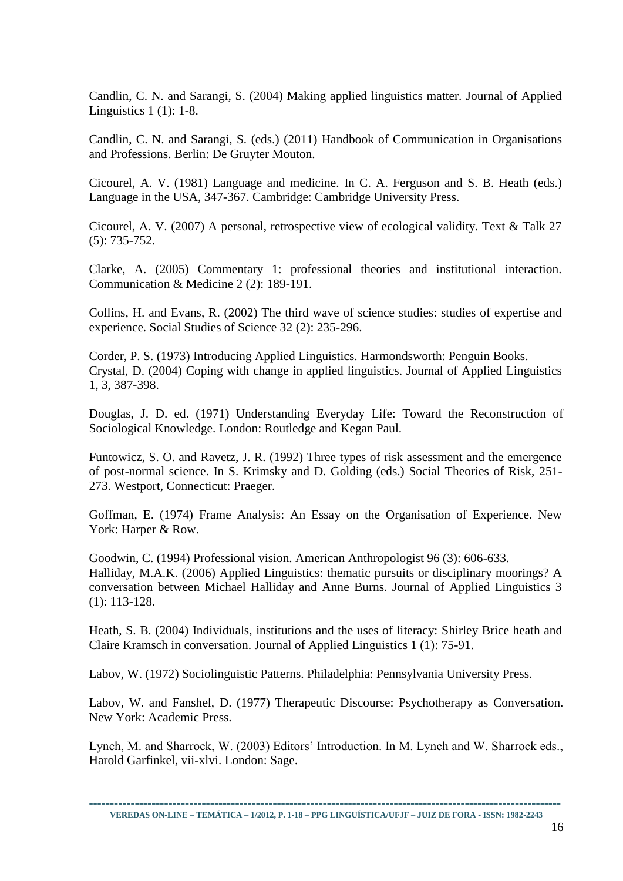Candlin, C. N. and Sarangi, S. (2004) Making applied linguistics matter. Journal of Applied Linguistics 1 (1): 1-8.

Candlin, C. N. and Sarangi, S. (eds.) (2011) Handbook of Communication in Organisations and Professions. Berlin: De Gruyter Mouton.

Cicourel, A. V. (1981) Language and medicine. In C. A. Ferguson and S. B. Heath (eds.) Language in the USA, 347-367. Cambridge: Cambridge University Press.

Cicourel, A. V. (2007) A personal, retrospective view of ecological validity. Text & Talk 27 (5): 735-752.

Clarke, A. (2005) Commentary 1: professional theories and institutional interaction. Communication & Medicine 2 (2): 189-191.

Collins, H. and Evans, R. (2002) The third wave of science studies: studies of expertise and experience. Social Studies of Science 32 (2): 235-296.

Corder, P. S. (1973) Introducing Applied Linguistics. Harmondsworth: Penguin Books. Crystal, D. (2004) Coping with change in applied linguistics. Journal of Applied Linguistics 1, 3, 387-398.

Douglas, J. D. ed. (1971) Understanding Everyday Life: Toward the Reconstruction of Sociological Knowledge. London: Routledge and Kegan Paul.

Funtowicz, S. O. and Ravetz, J. R. (1992) Three types of risk assessment and the emergence of post-normal science. In S. Krimsky and D. Golding (eds.) Social Theories of Risk, 251- 273. Westport, Connecticut: Praeger.

Goffman, E. (1974) Frame Analysis: An Essay on the Organisation of Experience. New York: Harper & Row.

Goodwin, C. (1994) Professional vision. American Anthropologist 96 (3): 606-633. Halliday, M.A.K. (2006) Applied Linguistics: thematic pursuits or disciplinary moorings? A conversation between Michael Halliday and Anne Burns. Journal of Applied Linguistics 3 (1): 113-128.

Heath, S. B. (2004) Individuals, institutions and the uses of literacy: Shirley Brice heath and Claire Kramsch in conversation. Journal of Applied Linguistics 1 (1): 75-91.

Labov, W. (1972) Sociolinguistic Patterns. Philadelphia: Pennsylvania University Press.

Labov, W. and Fanshel, D. (1977) Therapeutic Discourse: Psychotherapy as Conversation. New York: Academic Press.

Lynch, M. and Sharrock, W. (2003) Editors' Introduction. In M. Lynch and W. Sharrock eds., Harold Garfinkel, vii-xlvi. London: Sage.

**-----------------------------------------------------------------------------------------------------------------**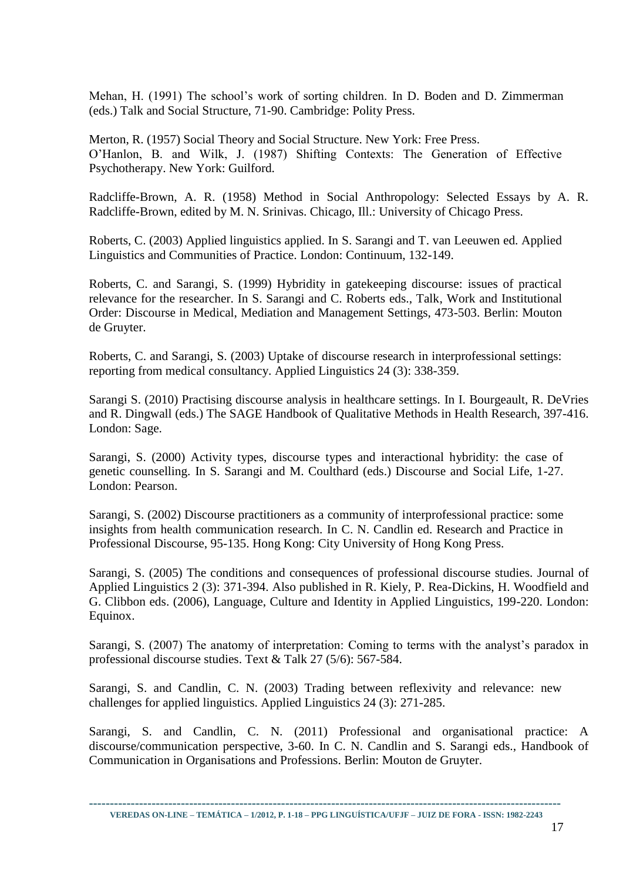Mehan, H. (1991) The school's work of sorting children. In D. Boden and D. Zimmerman (eds.) Talk and Social Structure, 71-90. Cambridge: Polity Press.

Merton, R. (1957) Social Theory and Social Structure. New York: Free Press. O'Hanlon, B. and Wilk, J. (1987) Shifting Contexts: The Generation of Effective Psychotherapy. New York: Guilford.

Radcliffe-Brown, A. R. (1958) Method in Social Anthropology: Selected Essays by A. R. Radcliffe-Brown, edited by M. N. Srinivas. Chicago, Ill.: University of Chicago Press.

Roberts, C. (2003) Applied linguistics applied. In S. Sarangi and T. van Leeuwen ed. Applied Linguistics and Communities of Practice. London: Continuum, 132-149.

Roberts, C. and Sarangi, S. (1999) Hybridity in gatekeeping discourse: issues of practical relevance for the researcher. In S. Sarangi and C. Roberts eds., Talk, Work and Institutional Order: Discourse in Medical, Mediation and Management Settings, 473-503. Berlin: Mouton de Gruyter.

Roberts, C. and Sarangi, S. (2003) Uptake of discourse research in interprofessional settings: reporting from medical consultancy. Applied Linguistics 24 (3): 338-359.

Sarangi S. (2010) Practising discourse analysis in healthcare settings. In I. Bourgeault, R. DeVries and R. Dingwall (eds.) The SAGE Handbook of Qualitative Methods in Health Research, 397-416. London: Sage.

Sarangi, S. (2000) Activity types, discourse types and interactional hybridity: the case of genetic counselling. In S. Sarangi and M. Coulthard (eds.) Discourse and Social Life, 1-27. London: Pearson.

Sarangi, S. (2002) Discourse practitioners as a community of interprofessional practice: some insights from health communication research. In C. N. Candlin ed. Research and Practice in Professional Discourse, 95-135. Hong Kong: City University of Hong Kong Press.

Sarangi, S. (2005) The conditions and consequences of professional discourse studies. Journal of Applied Linguistics 2 (3): 371-394. Also published in R. Kiely, P. Rea-Dickins, H. Woodfield and G. Clibbon eds. (2006), Language, Culture and Identity in Applied Linguistics, 199-220. London: Equinox.

Sarangi, S. (2007) The anatomy of interpretation: Coming to terms with the analyst's paradox in professional discourse studies. Text & Talk 27 (5/6): 567-584.

Sarangi, S. and Candlin, C. N. (2003) Trading between reflexivity and relevance: new challenges for applied linguistics. Applied Linguistics 24 (3): 271-285.

Sarangi, S. and Candlin, C. N. (2011) Professional and organisational practice: A discourse/communication perspective, 3-60. In C. N. Candlin and S. Sarangi eds., Handbook of Communication in Organisations and Professions. Berlin: Mouton de Gruyter.